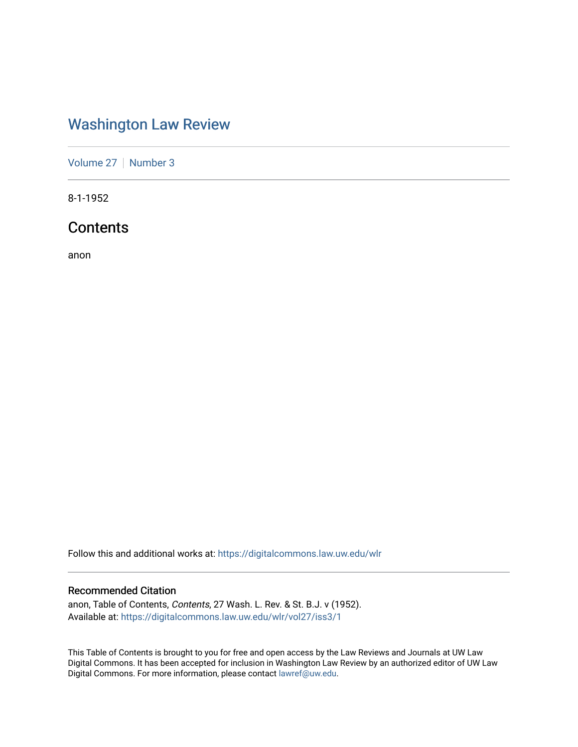## [Washington Law Review](https://digitalcommons.law.uw.edu/wlr)

[Volume 27](https://digitalcommons.law.uw.edu/wlr/vol27) | [Number 3](https://digitalcommons.law.uw.edu/wlr/vol27/iss3)

8-1-1952

## **Contents**

anon

Follow this and additional works at: [https://digitalcommons.law.uw.edu/wlr](https://digitalcommons.law.uw.edu/wlr?utm_source=digitalcommons.law.uw.edu%2Fwlr%2Fvol27%2Fiss3%2F1&utm_medium=PDF&utm_campaign=PDFCoverPages)

### Recommended Citation

anon, Table of Contents, Contents, 27 Wash. L. Rev. & St. B.J. v (1952). Available at: [https://digitalcommons.law.uw.edu/wlr/vol27/iss3/1](https://digitalcommons.law.uw.edu/wlr/vol27/iss3/1?utm_source=digitalcommons.law.uw.edu%2Fwlr%2Fvol27%2Fiss3%2F1&utm_medium=PDF&utm_campaign=PDFCoverPages)

This Table of Contents is brought to you for free and open access by the Law Reviews and Journals at UW Law Digital Commons. It has been accepted for inclusion in Washington Law Review by an authorized editor of UW Law Digital Commons. For more information, please contact [lawref@uw.edu.](mailto:lawref@uw.edu)